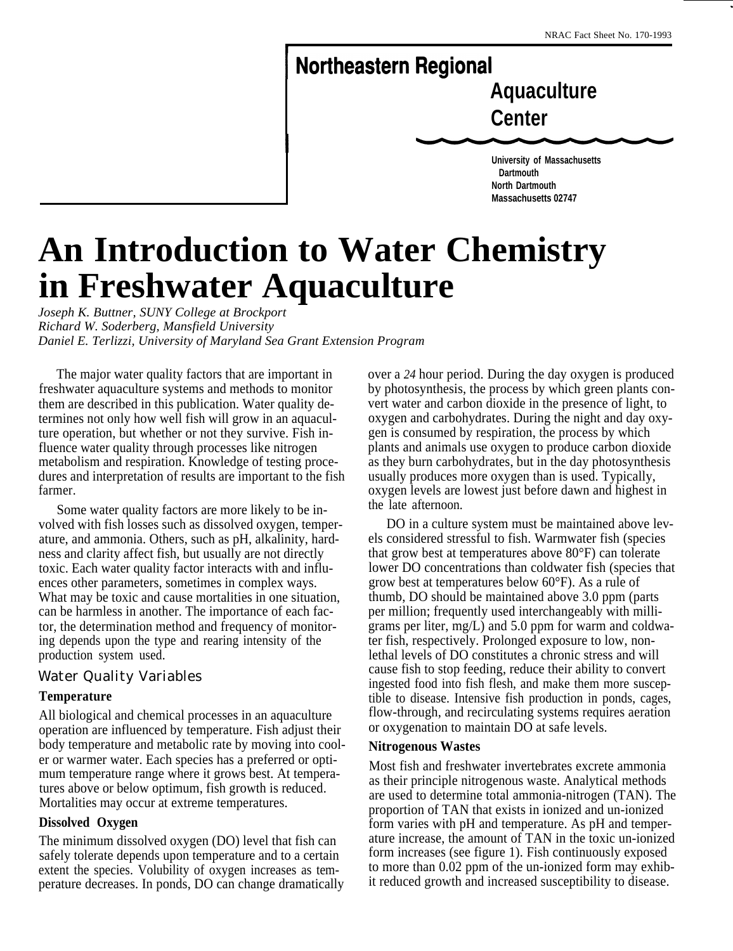.

# **Northeastern Regional**

**Aquaculture Center**

**University of Massachusetts Dartmouth North Dartmouth Massachusetts 02747**

# **An Introduction to Water Chemistry in Freshwater Aquaculture**

*Joseph K. Buttner, SUNY College at Brockport Richard W. Soderberg, Mansfield University Daniel E. Terlizzi, University of Maryland Sea Grant Extension Program*

The major water quality factors that are important in freshwater aquaculture systems and methods to monitor them are described in this publication. Water quality determines not only how well fish will grow in an aquaculture operation, but whether or not they survive. Fish influence water quality through processes like nitrogen metabolism and respiration. Knowledge of testing procedures and interpretation of results are important to the fish farmer.

Some water quality factors are more likely to be involved with fish losses such as dissolved oxygen, temperature, and ammonia. Others, such as pH, alkalinity, hardness and clarity affect fish, but usually are not directly toxic. Each water quality factor interacts with and influences other parameters, sometimes in complex ways. What may be toxic and cause mortalities in one situation, can be harmless in another. The importance of each factor, the determination method and frequency of monitoring depends upon the type and rearing intensity of the production system used.

# Water Quality Variables

#### **Temperature**

All biological and chemical processes in an aquaculture operation are influenced by temperature. Fish adjust their body temperature and metabolic rate by moving into cooler or warmer water. Each species has a preferred or optimum temperature range where it grows best. At temperatures above or below optimum, fish growth is reduced. Mortalities may occur at extreme temperatures.

#### **Dissolved Oxygen**

The minimum dissolved oxygen (DO) level that fish can safely tolerate depends upon temperature and to a certain extent the species. Volubility of oxygen increases as temperature decreases. In ponds, DO can change dramatically over a *24* hour period. During the day oxygen is produced by photosynthesis, the process by which green plants convert water and carbon dioxide in the presence of light, to oxygen and carbohydrates. During the night and day oxygen is consumed by respiration, the process by which plants and animals use oxygen to produce carbon dioxide as they burn carbohydrates, but in the day photosynthesis usually produces more oxygen than is used. Typically, oxygen levels are lowest just before dawn and highest in the late afternoon.

DO in a culture system must be maintained above levels considered stressful to fish. Warmwater fish (species that grow best at temperatures above 80°F) can tolerate lower DO concentrations than coldwater fish (species that grow best at temperatures below 60°F). As a rule of thumb, DO should be maintained above 3.0 ppm (parts per million; frequently used interchangeably with milligrams per liter, mg/L) and 5.0 ppm for warm and coldwater fish, respectively. Prolonged exposure to low, nonlethal levels of DO constitutes a chronic stress and will cause fish to stop feeding, reduce their ability to convert ingested food into fish flesh, and make them more susceptible to disease. Intensive fish production in ponds, cages, flow-through, and recirculating systems requires aeration or oxygenation to maintain DO at safe levels.

#### **Nitrogenous Wastes**

Most fish and freshwater invertebrates excrete ammonia as their principle nitrogenous waste. Analytical methods are used to determine total ammonia-nitrogen (TAN). The proportion of TAN that exists in ionized and un-ionized form varies with pH and temperature. As pH and temperature increase, the amount of TAN in the toxic un-ionized form increases (see figure 1). Fish continuously exposed to more than 0.02 ppm of the un-ionized form may exhibit reduced growth and increased susceptibility to disease.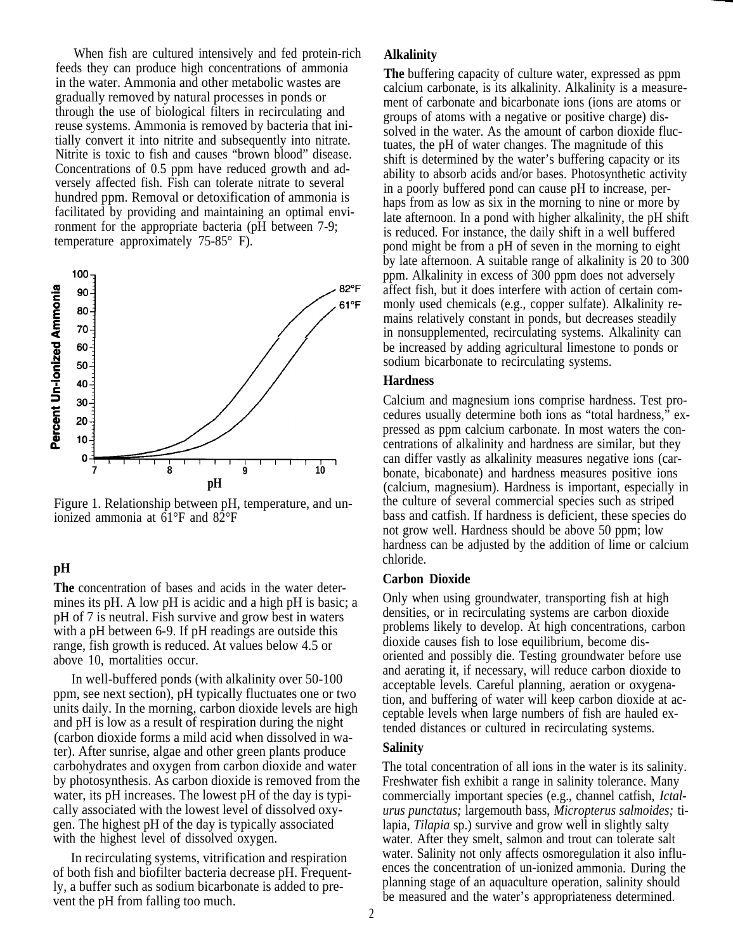When fish are cultured intensively and fed protein-rich feeds they can produce high concentrations of ammonia in the water. Ammonia and other metabolic wastes are gradually removed by natural processes in ponds or through the use of biological filters in recirculating and reuse systems. Ammonia is removed by bacteria that initially convert it into nitrite and subsequently into nitrate. Nitrite is toxic to fish and causes "brown blood" disease. Concentrations of 0.5 ppm have reduced growth and adversely affected fish. Fish can tolerate nitrate to several hundred ppm. Removal or detoxification of ammonia is facilitated by providing and maintaining an optimal environment for the appropriate bacteria (pH between 7-9; temperature approximately 75-85° F).



Figure 1. Relationship between pH, temperature, and unionized ammonia at  $61^{\circ}$ F and  $82^{\circ}$ F

#### **pH**

**The** concentration of bases and acids in the water determines its pH. A low pH is acidic and a high pH is basic; a pH of 7 is neutral. Fish survive and grow best in waters with a pH between 6-9. If pH readings are outside this range, fish growth is reduced. At values below 4.5 or above 10, mortalities occur.

In well-buffered ponds (with alkalinity over 50-100 ppm, see next section), pH typically fluctuates one or two units daily. In the morning, carbon dioxide levels are high and pH is low as a result of respiration during the night (carbon dioxide forms a mild acid when dissolved in water). After sunrise, algae and other green plants produce carbohydrates and oxygen from carbon dioxide and water by photosynthesis. As carbon dioxide is removed from the water, its pH increases. The lowest pH of the day is typically associated with the lowest level of dissolved oxygen. The highest pH of the day is typically associated with the highest level of dissolved oxygen.

In recirculating systems, vitrification and respiration of both fish and biofilter bacteria decrease pH. Frequently, a buffer such as sodium bicarbonate is added to prevent the pH from falling too much.

#### **Alkalinity**

**The** buffering capacity of culture water, expressed as ppm calcium carbonate, is its alkalinity. Alkalinity is a measurement of carbonate and bicarbonate ions (ions are atoms or groups of atoms with a negative or positive charge) dissolved in the water. As the amount of carbon dioxide fluctuates, the pH of water changes. The magnitude of this shift is determined by the water's buffering capacity or its ability to absorb acids and/or bases. Photosynthetic activity in a poorly buffered pond can cause pH to increase, perhaps from as low as six in the morning to nine or more by late afternoon. In a pond with higher alkalinity, the pH shift is reduced. For instance, the daily shift in a well buffered pond might be from a pH of seven in the morning to eight by late afternoon. A suitable range of alkalinity is 20 to 300 ppm. Alkalinity in excess of 300 ppm does not adversely affect fish, but it does interfere with action of certain commonly used chemicals (e.g., copper sulfate). Alkalinity remains relatively constant in ponds, but decreases steadily in nonsupplemented, recirculating systems. Alkalinity can be increased by adding agricultural limestone to ponds or sodium bicarbonate to recirculating systems.

#### **Hardness**

Calcium and magnesium ions comprise hardness. Test procedures usually determine both ions as "total hardness," expressed as ppm calcium carbonate. In most waters the concentrations of alkalinity and hardness are similar, but they can differ vastly as alkalinity measures negative ions (carbonate, bicabonate) and hardness measures positive ions (calcium, magnesium). Hardness is important, especially in the culture of several commercial species such as striped bass and catfish. If hardness is deficient, these species do not grow well. Hardness should be above 50 ppm; low hardness can be adjusted by the addition of lime or calcium chloride.

#### **Carbon Dioxide**

Only when using groundwater, transporting fish at high densities, or in recirculating systems are carbon dioxide problems likely to develop. At high concentrations, carbon dioxide causes fish to lose equilibrium, become disoriented and possibly die. Testing groundwater before use and aerating it, if necessary, will reduce carbon dioxide to acceptable levels. Careful planning, aeration or oxygenation, and buffering of water will keep carbon dioxide at acceptable levels when large numbers of fish are hauled extended distances or cultured in recirculating systems.

#### **Salinity**

The total concentration of all ions in the water is its salinity. Freshwater fish exhibit a range in salinity tolerance. Many commercially important species (e.g., channel catfish, *Ictalurus punctatus;* largemouth bass, *Micropterus salmoides;* tilapia, *Tilapia* sp.) survive and grow well in slightly salty water. After they smelt, salmon and trout can tolerate salt water. Salinity not only affects osmoregulation it also influences the concentration of un-ionized ammonia. During the planning stage of an aquaculture operation, salinity should be measured and the water's appropriateness determined.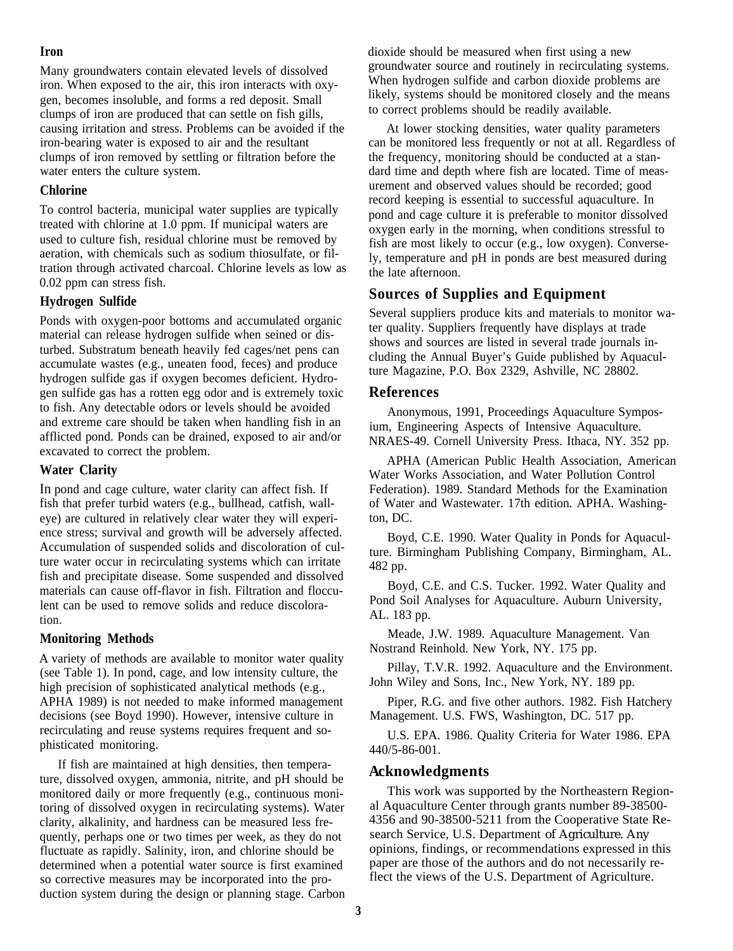#### **Iron**

Many groundwaters contain elevated levels of dissolved iron. When exposed to the air, this iron interacts with oxygen, becomes insoluble, and forms a red deposit. Small clumps of iron are produced that can settle on fish gills, causing irritation and stress. Problems can be avoided if the iron-bearing water is exposed to air and the resultant clumps of iron removed by settling or filtration before the water enters the culture system.

#### **Chlorine**

To control bacteria, municipal water supplies are typically treated with chlorine at 1.0 ppm. If municipal waters are used to culture fish, residual chlorine must be removed by aeration, with chemicals such as sodium thiosulfate, or filtration through activated charcoal. Chlorine levels as low as 0.02 ppm can stress fish.

#### **Hydrogen Sulfide**

Ponds with oxygen-poor bottoms and accumulated organic material can release hydrogen sulfide when seined or disturbed. Substratum beneath heavily fed cages/net pens can accumulate wastes (e.g., uneaten food, feces) and produce hydrogen sulfide gas if oxygen becomes deficient. Hydrogen sulfide gas has a rotten egg odor and is extremely toxic to fish. Any detectable odors or levels should be avoided and extreme care should be taken when handling fish in an afflicted pond. Ponds can be drained, exposed to air and/or excavated to correct the problem.

#### **Water Clarity**

In pond and cage culture, water clarity can affect fish. If fish that prefer turbid waters (e.g., bullhead, catfish, walleye) are cultured in relatively clear water they will experience stress; survival and growth will be adversely affected. Accumulation of suspended solids and discoloration of culture water occur in recirculating systems which can irritate fish and precipitate disease. Some suspended and dissolved materials can cause off-flavor in fish. Filtration and flocculent can be used to remove solids and reduce discoloration.

#### **Monitoring Methods**

A variety of methods are available to monitor water quality (see Table 1). In pond, cage, and low intensity culture, the high precision of sophisticated analytical methods (e.g., APHA 1989) is not needed to make informed management decisions (see Boyd 1990). However, intensive culture in recirculating and reuse systems requires frequent and sophisticated monitoring.

If fish are maintained at high densities, then temperature, dissolved oxygen, ammonia, nitrite, and pH should be monitored daily or more frequently (e.g., continuous monitoring of dissolved oxygen in recirculating systems). Water clarity, alkalinity, and hardness can be measured less frequently, perhaps one or two times per week, as they do not fluctuate as rapidly. Salinity, iron, and chlorine should be determined when a potential water source is first examined so corrective measures may be incorporated into the production system during the design or planning stage. Carbon dioxide should be measured when first using a new groundwater source and routinely in recirculating systems. When hydrogen sulfide and carbon dioxide problems are likely, systems should be monitored closely and the means to correct problems should be readily available.

At lower stocking densities, water quality parameters can be monitored less frequently or not at all. Regardless of the frequency, monitoring should be conducted at a standard time and depth where fish are located. Time of measurement and observed values should be recorded; good record keeping is essential to successful aquaculture. In pond and cage culture it is preferable to monitor dissolved oxygen early in the morning, when conditions stressful to fish are most likely to occur (e.g., low oxygen). Conversely, temperature and pH in ponds are best measured during the late afternoon.

# **Sources of Supplies and Equipment**

Several suppliers produce kits and materials to monitor water quality. Suppliers frequently have displays at trade shows and sources are listed in several trade journals including the Annual Buyer's Guide published by Aquaculture Magazine, P.O. Box 2329, Ashville, NC 28802.

## **References**

Anonymous, 1991, Proceedings Aquaculture Symposium, Engineering Aspects of Intensive Aquaculture. NRAES-49. Cornell University Press. Ithaca, NY. 352 pp.

APHA (American Public Health Association, American Water Works Association, and Water Pollution Control Federation). 1989. Standard Methods for the Examination of Water and Wastewater. 17th edition. APHA. Washington, DC.

Boyd, C.E. 1990. Water Quality in Ponds for Aquaculture. Birmingham Publishing Company, Birmingham, AL. 482 pp.

Boyd, C.E. and C.S. Tucker. 1992. Water Quality and Pond Soil Analyses for Aquaculture. Auburn University, AL. 183 pp.

Meade, J.W. 1989. Aquaculture Management. Van Nostrand Reinhold. New York, NY. 175 pp.

Pillay, T.V.R. 1992. Aquaculture and the Environment. John Wiley and Sons, Inc., New York, NY. 189 pp.

Piper, R.G. and five other authors. 1982. Fish Hatchery Management. U.S. FWS, Washington, DC. 517 pp.

U.S. EPA. 1986. Quality Criteria for Water 1986. EPA 440/5-86-001.

## **Acknowledgments**

This work was supported by the Northeastern Regional Aquaculture Center through grants number 89-38500- 4356 and 90-38500-5211 from the Cooperative State Research Service, U.S. Department of Agriculture. Any opinions, findings, or recommendations expressed in this paper are those of the authors and do not necessarily reflect the views of the U.S. Department of Agriculture.